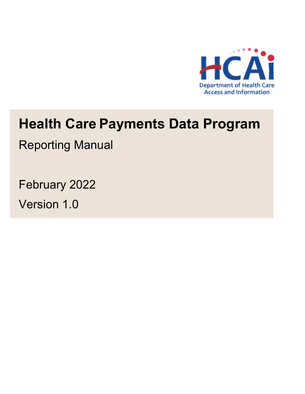

# **Health Care Payments Data Program**

Reporting Manual

February 2022 Version 1.0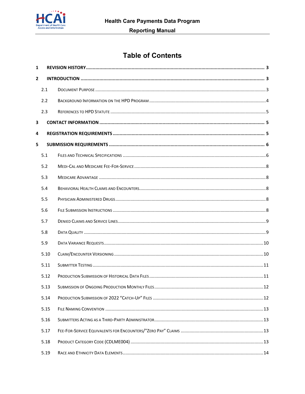

# **Table of Contents**

| 1 |      |                                                |    |
|---|------|------------------------------------------------|----|
| 2 |      |                                                |    |
|   | 2.1  |                                                |    |
|   | 2.2  |                                                |    |
|   | 2.3  |                                                |    |
| 3 |      |                                                |    |
| 4 |      |                                                |    |
| 5 |      |                                                |    |
|   | 5.1  |                                                |    |
|   | 5.2  |                                                |    |
|   | 5.3  |                                                |    |
|   | 5.4  |                                                |    |
|   | 5.5  |                                                |    |
|   | 5.6  |                                                |    |
|   | 5.7  |                                                |    |
|   | 5.8  |                                                |    |
|   | 5.9  |                                                |    |
|   | 5.10 |                                                |    |
|   | 5.11 |                                                |    |
|   | 5.12 |                                                |    |
|   | 5.13 | SUBMISSION OF ONGOING PRODUCTION MONTHLY FILES | 12 |
|   | 5.14 |                                                |    |
|   | 5.15 |                                                |    |
|   | 5.16 |                                                |    |
|   | 5.17 |                                                |    |
|   | 5.18 |                                                |    |
|   | 5.19 |                                                |    |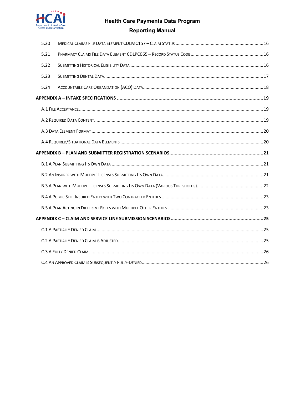

# **Health Care Payments Data Program**

#### **Reporting Manual**

| 5.20 |  |
|------|--|
| 5.21 |  |
| 5.22 |  |
| 5.23 |  |
| 5.24 |  |
|      |  |
|      |  |
|      |  |
|      |  |
|      |  |
|      |  |
|      |  |
|      |  |
|      |  |
|      |  |
|      |  |
|      |  |
|      |  |
|      |  |
|      |  |
|      |  |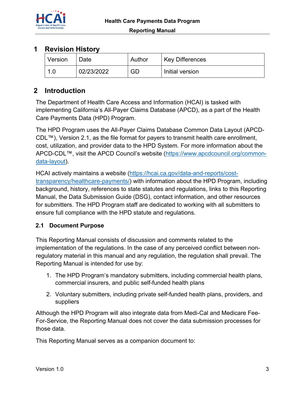

# **1 Revision History**

| Version | Date.      | Author | <b>Key Differences</b> |
|---------|------------|--------|------------------------|
| -4      | 02/23/2022 | GD     | Initial version        |

# **2 Introduction**

The Department of Health Care Access and Information (HCAI) is tasked with implementing California's All-Payer Claims Database (APCD), as a part of the Health Care Payments Data (HPD) Program.

The HPD Program uses the All-Payer Claims Database Common Data Layout (APCD-CDL™), Version 2.1, as the file format for payers to transmit health care enrollment, cost, utilization, and provider data to the HPD System. For more information about the APCD-CDL™, visit the APCD Council's website (https://www.apcdcouncil.org/common-<u>data-layout</u>).

HCAI actively maintains a website (https://hcai.ca.gov/data-and-reports/costtransparency/healthcare-payments/) with information about the HPD Program, including background, history, references to state statutes and regulations, links to this Reporting Manual, the Data Submission Guide (DSG), contact information, and other resources for submitters. The HPD Program staff are dedicated to working with all submitters to ensure full compliance with the HPD statute and regulations.

## **2.1 Document Purpose**

This Reporting Manual consists of discussion and comments related to the implementation of the regulations. In the case of any perceived conflict between nonregulatory material in this manual and any regulation, the regulation shall prevail. The Reporting Manual is intended for use by:

- 1. The HPD Program's mandatory submitters, including commercial health plans, commercial insurers, and public self-funded health plans
- 2. Voluntary submitters, including private self-funded health plans, providers, and suppliers

Although the HPD Program will also integrate data from Medi-Cal and Medicare Fee-For-Service, the Reporting Manual does not cover the data submission processes for those data.

This Reporting Manual serves as a companion document to: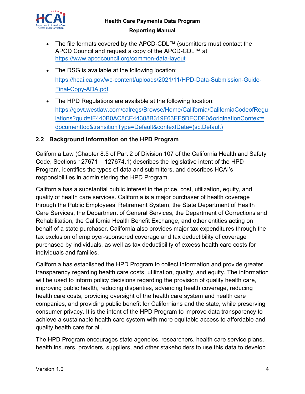

- The file formats covered by the APCD-CDL™ (submitters must contact the APCD Council and request a copy of the APCD-CDL™ at https://www.apcdcouncil.org/common-data-layout
- The DSG is available at the following location: https://hcai.ca.gov/wp-content/uploads/2021/11/HPD-Data-Submission-Guide-Final-Copy-ADA.pdf
- The HPD Regulations are available at the following location: https://govt.westlaw.com/calregs/Browse/Home/California/CaliforniaCodeofRegu lations?guid=IF440B0AC8CE44308B319F63EE5DECDF0&originationContext= documenttoc&transitionType=Default&contextData=(sc.Default)

#### **2.2 Background Information on the HPD Program**

California Law (Chapter 8.5 of Part 2 of Division 107 of the California Health and Safety Code, Sections 127671 – 127674.1) describes the legislative intent of the HPD Program, identifies the types of data and submitters, and describes HCAI's responsibilities in administering the HPD Program.

California has a substantial public interest in the price, cost, utilization, equity, and quality of health care services. California is a major purchaser of health coverage through the Public Employees' Retirement System, the State Department of Health Care Services, the Department of General Services, the Department of Corrections and Rehabilitation, the California Health Benefit Exchange, and other entities acting on behalf of a state purchaser. California also provides major tax expenditures through the tax exclusion of employer-sponsored coverage and tax deductibility of coverage purchased by individuals, as well as tax deductibility of excess health care costs for individuals and families.

California has established the HPD Program to collect information and provide greater transparency regarding health care costs, utilization, quality, and equity. The information will be used to inform policy decisions regarding the provision of quality health care, improving public health, reducing disparities, advancing health coverage, reducing health care costs, providing oversight of the health care system and health care companies, and providing public benefit for Californians and the state, while preserving consumer privacy. It is the intent of the HPD Program to improve data transparency to achieve a sustainable health care system with more equitable access to affordable and quality health care for all.

The HPD Program encourages state agencies, researchers, health care service plans, health insurers, providers, suppliers, and other stakeholders to use this data to develop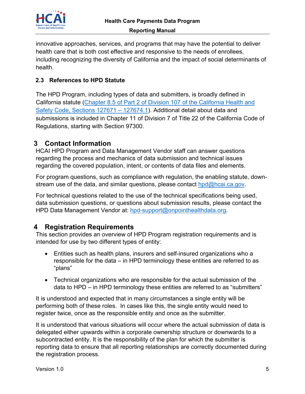

innovative approaches, services, and programs that may have the potential to deliver health care that is both cost effective and responsive to the needs of enrollees, including recognizing the diversity of California and the impact of social determinants of health.

#### **2.3 References to HPD Statute**

The HPD Program, including types of data and submitters, is broadly defined in California statute (Chapter 8.5 of Part 2 of Division 107 of the California Health and Safety Code, Sections 127671 - 127674.1). Additional detail about data and submissions is included in Chapter 11 of Division 7 of Title 22 of the California Code of Regulations, starting with Section 97300.

# **3 Contact Information**

HCAI HPD Program and Data Management Vendor staff can answer questions regarding the process and mechanics of data submission and technical issues regarding the covered population, intent, or contents of data files and elements.

For program questions, such as compliance with regulation, the enabling statute, downstream use of the data, and similar questions, please contact hpd@hcai.ca.gov.

For technical questions related to the use of the technical specifications being used, data submission questions, or questions about submission results, please contact the HPD Data Management Vendor at: hpd-support@onpointhealthdata.org.

# **4 Registration Requirements**

This section provides an overview of HPD Program registration requirements and is intended for use by two different types of entity:

- Entities such as health plans, insurers and self-insured organizations who a responsible for the data – in HPD terminology these entities are referred to as "plans"
- Technical organizations who are responsible for the actual submission of the data to HPD – in HPD terminology these entities are referred to as "submitters"

It is understood and expected that in many circumstances a single entity will be performing both of these roles. In cases like this, the single entity would need to register twice, once as the responsible entity and once as the submitter.

It is understood that various situations will occur where the actual submission of data is delegated either upwards within a corporate ownership structure or downwards to a subcontracted entity. It is the responsibility of the plan for which the submitter is reporting data to ensure that all reporting relationships are correctly documented during the registration process.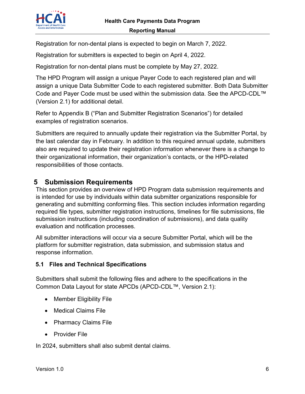

Registration for non-dental plans is expected to begin on March 7, 2022.

Registration for submitters is expected to begin on April 4, 2022.

Registration for non-dental plans must be complete by May 27, 2022.

The HPD Program will assign a unique Payer Code to each registered plan and will assign a unique Data Submitter Code to each registered submitter. Both Data Submitter Code and Payer Code must be used within the submission data. See the APCD-CDL™ (Version 2.1) for additional detail.

Refer to Appendix B ("Plan and Submitter Registration Scenarios") for detailed examples of registration scenarios.

Submitters are required to annually update their registration via the Submitter Portal, by the last calendar day in February. In addition to this required annual update, submitters also are required to update their registration information whenever there is a change to their organizational information, their organization's contacts, or the HPD-related responsibilities of those contacts.

## **5 Submission Requirements**

This section provides an overview of HPD Program data submission requirements and is intended for use by individuals within data submitter organizations responsible for generating and submitting conforming files. This section includes information regarding required file types, submitter registration instructions, timelines for file submissions, file submission instructions (including coordination of submissions), and data quality evaluation and notification processes.

All submitter interactions will occur via a secure Submitter Portal, which will be the platform for submitter registration, data submission, and submission status and response information.

#### **5.1 Files and Technical Specifications**

Submitters shall submit the following files and adhere to the specifications in the Common Data Layout for state APCDs (APCD-CDL™, Version 2.1):

- Member Eligibility File
- Medical Claims File
- Pharmacy Claims File
- Provider File

In 2024, submitters shall also submit dental claims.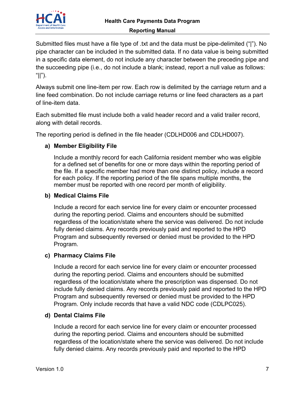

Submitted files must have a file type of .txt and the data must be pipe-delimited ("|"). No pipe character can be included in the submitted data. If no data value is being submitted in a specific data element, do not include any character between the preceding pipe and the succeeding pipe (i.e., do not include a blank; instead, report a null value as follows: " $\vert\vert$ " $\rangle$ .

Always submit one line-item per row. Each row is delimited by the carriage return and a line feed combination. Do not include carriage returns or line feed characters as a part of line-item data.

Each submitted file must include both a valid header record and a valid trailer record, along with detail records.

The reporting period is defined in the file header (CDLHD006 and CDLHD007).

#### **a) Member Eligibility File**

Include a monthly record for each California resident member who was eligible for a defined set of benefits for one or more days within the reporting period of the file. If a specific member had more than one distinct policy, include a record for each policy. If the reporting period of the file spans multiple months, the member must be reported with one record per month of eligibility.

#### **b) Medical Claims File**

Include a record for each service line for every claim or encounter processed during the reporting period. Claims and encounters should be submitted regardless of the location/state where the service was delivered. Do not include fully denied claims. Any records previously paid and reported to the HPD Program and subsequently reversed or denied must be provided to the HPD Program.

#### **c) Pharmacy Claims File**

Include a record for each service line for every claim or encounter processed during the reporting period. Claims and encounters should be submitted regardless of the location/state where the prescription was dispensed. Do not include fully denied claims. Any records previously paid and reported to the HPD Program and subsequently reversed or denied must be provided to the HPD Program. Only include records that have a valid NDC code (CDLPC025).

#### **d) Dental Claims File**

Include a record for each service line for every claim or encounter processed during the reporting period. Claims and encounters should be submitted regardless of the location/state where the service was delivered. Do not include fully denied claims. Any records previously paid and reported to the HPD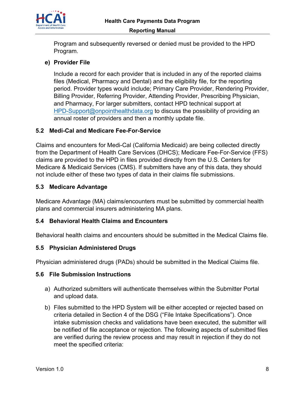

Program and subsequently reversed or denied must be provided to the HPD Program.

#### **e) Provider File**

Include a record for each provider that is included in any of the reported claims files (Medical, Pharmacy and Dental) and the eligibility file, for the reporting period. Provider types would include; Primary Care Provider, Rendering Provider, Billing Provider, Referring Provider, Attending Provider, Prescribing Physician, and Pharmacy, For larger submitters, contact HPD technical support at HPD-Support@onpointhealthdata.org to discuss the possibility of providing an annual roster of providers and then a monthly update file.

#### **5.2 Medi-Cal and Medicare Fee-For-Service**

Claims and encounters for Medi-Cal (California Medicaid) are being collected directly from the Department of Health Care Services (DHCS); Medicare Fee-For-Service (FFS) claims are provided to the HPD in files provided directly from the U.S. Centers for Medicare & Medicaid Services (CMS). If submitters have any of this data, they should not include either of these two types of data in their claims file submissions.

#### **5.3 Medicare Advantage**

Medicare Advantage (MA) claims/encounters must be submitted by commercial health plans and commercial insurers administering MA plans.

#### **5.4 Behavioral Health Claims and Encounters**

Behavioral health claims and encounters should be submitted in the Medical Claims file.

#### **5.5 Physician Administered Drugs**

Physician administered drugs (PADs) should be submitted in the Medical Claims file.

#### **5.6 File Submission Instructions**

- a) Authorized submitters will authenticate themselves within the Submitter Portal and upload data.
- b) Files submitted to the HPD System will be either accepted or rejected based on criteria detailed in Section 4 of the DSG ("File Intake Specifications"). Once intake submission checks and validations have been executed, the submitter will be notified of file acceptance or rejection. The following aspects of submitted files are verified during the review process and may result in rejection if they do not meet the specified criteria: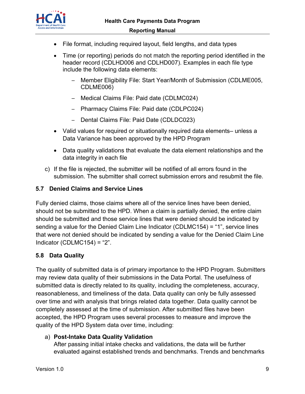

- File format, including required layout, field lengths, and data types
- Time (or reporting) periods do not match the reporting period identified in the header record (CDLHD006 and CDLHD007). Examples in each file type include the following data elements:
	- Member Eligibility File: Start Year/Month of Submission (CDLME005, CDLME006)
	- ─ Medical Claims File: Paid date (CDLMC024)
	- ─ Pharmacy Claims File: Paid date (CDLPC024)
	- ─ Dental Claims File: Paid Date (CDLDC023)
- Valid values for required or situationally required data elements– unless a Data Variance has been approved by the HPD Program
- Data quality validations that evaluate the data element relationships and the data integrity in each file
- c) If the file is rejected, the submitter will be notified of all errors found in the submission. The submitter shall correct submission errors and resubmit the file.

## **5.7 Denied Claims and Service Lines**

Fully denied claims, those claims where all of the service lines have been denied, should not be submitted to the HPD. When a claim is partially denied, the entire claim should be submitted and those service lines that were denied should be indicated by sending a value for the Denied Claim Line Indicator (CDLMC154) = "1", service lines that were not denied should be indicated by sending a value for the Denied Claim Line Indicator (CDLMC154) = "2".

# **5.8 Data Quality**

The quality of submitted data is of primary importance to the HPD Program. Submitters may review data quality of their submissions in the Data Portal. The usefulness of submitted data is directly related to its quality, including the completeness, accuracy, reasonableness, and timeliness of the data. Data quality can only be fully assessed over time and with analysis that brings related data together. Data quality cannot be completely assessed at the time of submission. After submitted files have been accepted, the HPD Program uses several processes to measure and improve the quality of the HPD System data over time, including:

## a) **Post-Intake Data Quality Validation**

After passing initial intake checks and validations, the data will be further evaluated against established trends and benchmarks. Trends and benchmarks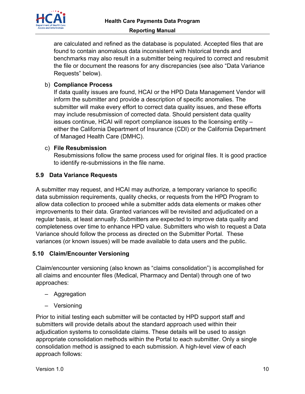

are calculated and refined as the database is populated. Accepted files that are found to contain anomalous data inconsistent with historical trends and benchmarks may also result in a submitter being required to correct and resubmit the file or document the reasons for any discrepancies (see also "Data Variance Requests" below).

## b) **Compliance Process**

If data quality issues are found, HCAI or the HPD Data Management Vendor will inform the submitter and provide a description of specific anomalies. The submitter will make every effort to correct data quality issues, and these efforts may include resubmission of corrected data. Should persistent data quality issues continue, HCAI will report compliance issues to the licensing entity – either the California Department of Insurance (CDI) or the California Department of Managed Health Care (DMHC).

#### c) **File Resubmission**

Resubmissions follow the same process used for original files. It is good practice to identify re-submissions in the file name.

## **5.9 Data Variance Requests**

A submitter may request, and HCAI may authorize, a temporary variance to specific data submission requirements, quality checks, or requests from the HPD Program to allow data collection to proceed while a submitter adds data elements or makes other improvements to their data. Granted variances will be revisited and adjudicated on a regular basis, at least annually. Submitters are expected to improve data quality and completeness over time to enhance HPD value. Submitters who wish to request a Data Variance should follow the process as directed on the Submitter Portal. These variances (or known issues) will be made available to data users and the public.

## **5.10 Claim/Encounter Versioning**

Claim/encounter versioning (also known as "claims consolidation") is accomplished for all claims and encounter files (Medical, Pharmacy and Dental) through one of two approaches:

- Aggregation
- Versioning

Prior to initial testing each submitter will be contacted by HPD support staff and submitters will provide details about the standard approach used within their adjudication systems to consolidate claims. These details will be used to assign appropriate consolidation methods within the Portal to each submitter. Only a single consolidation method is assigned to each submission. A high-level view of each approach follows: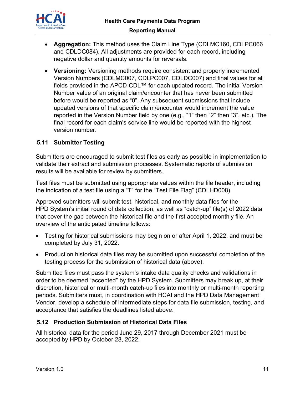

- **Aggregation:** This method uses the Claim Line Type (CDLMC160, CDLPC066 and CDLDC084). All adjustments are provided for each record, including negative dollar and quantity amounts for reversals.
- **Versioning:** Versioning methods require consistent and properly incremented Version Numbers (CDLMC007, CDLPC007, CDLDC007) and final values for all fields provided in the APCD-CDL™ for each updated record. The initial Version Number value of an original claim/encounter that has never been submitted before would be reported as "0". Any subsequent submissions that include updated versions of that specific claim/encounter would increment the value reported in the Version Number field by one (e.g., "1" then "2" then "3", etc.). The final record for each claim's service line would be reported with the highest version number.

#### **5.11 Submitter Testing**

Submitters are encouraged to submit test files as early as possible in implementation to validate their extract and submission processes. Systematic reports of submission results will be available for review by submitters.

Test files must be submitted using appropriate values within the file header, including the indication of a test file using a "T" for the "Test File Flag" (CDLHD008).

Approved submitters will submit test, historical, and monthly data files for the HPD System's initial round of data collection, as well as "catch-up" file(s) of 2022 data that cover the gap between the historical file and the first accepted monthly file. An overview of the anticipated timeline follows:

- Testing for historical submissions may begin on or after April 1, 2022, and must be completed by July 31, 2022.
- Production historical data files may be submitted upon successful completion of the testing process for the submission of historical data (above).

Submitted files must pass the system's intake data quality checks and validations in order to be deemed "accepted" by the HPD System. Submitters may break up, at their discretion, historical or multi-month catch-up files into monthly or multi-month reporting periods. Submitters must, in coordination with HCAI and the HPD Data Management Vendor, develop a schedule of intermediate steps for data file submission, testing, and acceptance that satisfies the deadlines listed above.

#### **5.12 Production Submission of Historical Data Files**

All historical data for the period June 29, 2017 through December 2021 must be accepted by HPD by October 28, 2022.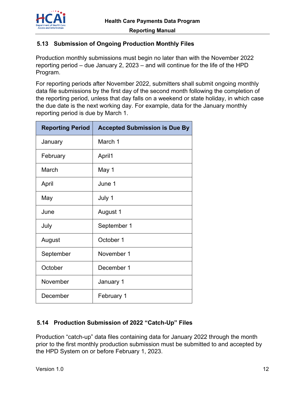

## **5.13 Submission of Ongoing Production Monthly Files**

Production monthly submissions must begin no later than with the November 2022 reporting period – due January 2, 2023 – and will continue for the life of the HPD Program.

For reporting periods after November 2022, submitters shall submit ongoing monthly data file submissions by the first day of the second month following the completion of the reporting period, unless that day falls on a weekend or state holiday, in which case the due date is the next working day. For example, data for the January monthly reporting period is due by March 1.

| <b>Reporting Period</b> | <b>Accepted Submission is Due By</b> |
|-------------------------|--------------------------------------|
| January                 | March 1                              |
| February                | April1                               |
| March                   | May 1                                |
| April                   | June 1                               |
| May                     | July 1                               |
| June                    | August 1                             |
| July                    | September 1                          |
| August                  | October 1                            |
| September               | November 1                           |
| October                 | December 1                           |
| November                | January 1                            |
| December                | February 1                           |

## **5.14 Production Submission of 2022 "Catch-Up" Files**

Production "catch-up" data files containing data for January 2022 through the month prior to the first monthly production submission must be submitted to and accepted by the HPD System on or before February 1, 2023.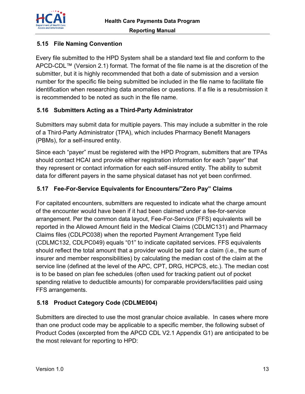

## **5.15 File Naming Convention**

Every file submitted to the HPD System shall be a standard text file and conform to the APCD-CDL™ (Version 2.1) format. The format of the file name is at the discretion of the submitter, but it is highly recommended that both a date of submission and a version number for the specific file being submitted be included in the file name to facilitate file identification when researching data anomalies or questions. If a file is a resubmission it is recommended to be noted as such in the file name.

#### **5.16 Submitters Acting as a Third-Party Administrator**

Submitters may submit data for multiple payers. This may include a submitter in the role of a Third-Party Administrator (TPA), which includes Pharmacy Benefit Managers (PBMs), for a self-insured entity.

Since each "payer" must be registered with the HPD Program, submitters that are TPAs should contact HCAI and provide either registration information for each "payer" that they represent or contact information for each self-insured entity. The ability to submit data for different payers in the same physical dataset has not yet been confirmed.

#### **5.17 Fee-For-Service Equivalents for Encounters/"Zero Pay" Claims**

For capitated encounters, submitters are requested to indicate what the charge amount of the encounter would have been if it had been claimed under a fee-for-service arrangement. Per the common data layout, Fee-For-Service (FFS) equivalents will be reported in the Allowed Amount field in the Medical Claims (CDLMC131) and Pharmacy Claims files (CDLPC038) when the reported Payment Arrangement Type field (CDLMC132, CDLPC049) equals "01" to indicate capitated services. FFS equivalents should reflect the total amount that a provider would be paid for a claim (i.e., the sum of insurer and member responsibilities) by calculating the median cost of the claim at the service line (defined at the level of the APC, CPT, DRG, HCPCS, etc.). The median cost is to be based on plan fee schedules (often used for tracking patient out of pocket spending relative to deductible amounts) for comparable providers/facilities paid using FFS arrangements.

## **5.18 Product Category Code (CDLME004)**

Submitters are directed to use the most granular choice available. In cases where more than one product code may be applicable to a specific member, the following subset of Product Codes (excerpted from the APCD CDL V2.1 Appendix G1) are anticipated to be the most relevant for reporting to HPD: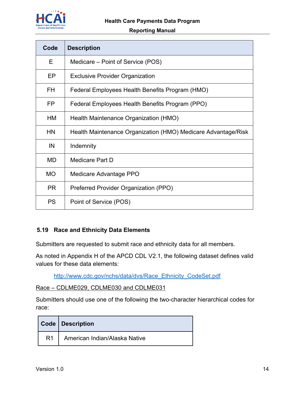

#### **Reporting Manual**

| Code      | <b>Description</b>                                            |  |  |  |  |  |
|-----------|---------------------------------------------------------------|--|--|--|--|--|
| E.        | Medicare – Point of Service (POS)                             |  |  |  |  |  |
| EP        | <b>Exclusive Provider Organization</b>                        |  |  |  |  |  |
| FH.       | Federal Employees Health Benefits Program (HMO)               |  |  |  |  |  |
| FP.       | Federal Employees Health Benefits Program (PPO)               |  |  |  |  |  |
| HM        | Health Maintenance Organization (HMO)                         |  |  |  |  |  |
| <b>HN</b> | Health Maintenance Organization (HMO) Medicare Advantage/Risk |  |  |  |  |  |
| IN        | Indemnity                                                     |  |  |  |  |  |
| MD        | Medicare Part D                                               |  |  |  |  |  |
| <b>MO</b> | Medicare Advantage PPO                                        |  |  |  |  |  |
| <b>PR</b> | Preferred Provider Organization (PPO)                         |  |  |  |  |  |
| <b>PS</b> | Point of Service (POS)                                        |  |  |  |  |  |

#### **5.19 Race and Ethnicity Data Elements**

Submitters are requested to submit race and ethnicity data for all members.

As noted in Appendix H of the APCD CDL V2.1, the following dataset defines valid values for these data elements:

http://www.cdc.gov/nchs/data/dvs/Race\_Ethnicity\_CodeSet.pdf

Race – CDLME029, CDLME030 and CDLME031

Submitters should use one of the following the two-character hierarchical codes for race:

|                | Code   Description            |
|----------------|-------------------------------|
| R <sub>1</sub> | American Indian/Alaska Native |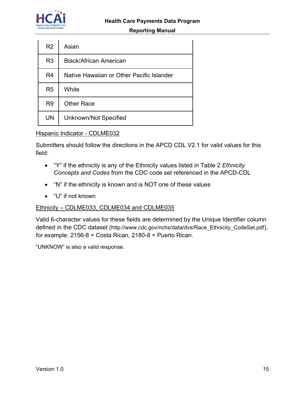

#### **Reporting Manual**

| R <sub>2</sub> | Asian                                     |
|----------------|-------------------------------------------|
| R <sub>3</sub> | <b>Black/African American</b>             |
| R <sub>4</sub> | Native Hawaiian or Other Pacific Islander |
| R <sub>5</sub> | White                                     |
| R <sub>9</sub> | <b>Other Race</b>                         |
| UN             | Unknown/Not Specified                     |

#### Hispanic Indicator - CDLME032

Submitters should follow the directions in the APCD CDL V2.1 for valid values for this field:

- "Y" if the ethnicity is any of the Ethnicity values listed in Table 2 *Ethnicity Concepts and Codes* from the CDC code set referenced in the APCD-CDL
- "N" if the ethnicity is known and is NOT one of these values
- "U" if not known

#### Ethnicity – CDLME033, CDLME034 and CDLME035

Valid 6-character values for these fields are determined by the Unique Identifier column defined in the CDC dataset (http://www.cdc.gov/nchs/data/dvs/Race\_Ethnicity\_CodeSet.pdf), for example:  $2156-8 = \text{Costa Rican}, 2180-8 = \text{Puerto Rican}.$ 

"UNKNOW" is also a valid response.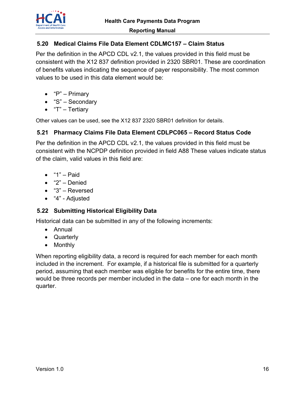

#### **5.20 Medical Claims File Data Element CDLMC157 – Claim Status**

Per the definition in the APCD CDL v2.1, the values provided in this field must be consistent with the X12 837 definition provided in 2320 SBR01. These are coordination of benefits values indicating the sequence of payer responsibility. The most common values to be used in this data element would be:

- "P" Primary
- "S" Secondary
- "T" Tertiary

Other values can be used, see the X12 837 2320 SBR01 definition for details.

#### **5.21 Pharmacy Claims File Data Element CDLPC065 – Record Status Code**

Per the definition in the APCD CDL v2.1, the values provided in this field must be consistent with the NCPDP definition provided in field A88 These values indicate status of the claim, valid values in this field are:

- $"1" -$  Paid
- "2" Denied
- "3" Reversed
- "4" Adjusted

#### **5.22 Submitting Historical Eligibility Data**

Historical data can be submitted in any of the following increments:

- Annual
- Quarterly
- Monthly

When reporting eligibility data, a record is required for each member for each month included in the increment. For example, if a historical file is submitted for a quarterly period, assuming that each member was eligible for benefits for the entire time, there would be three records per member included in the data – one for each month in the quarter.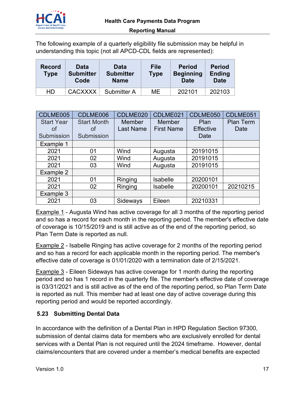

The following example of a quarterly eligibility file submission may be helpful in understanding this topic (not all APCD-CDL fields are represented):

| <b>Record</b><br><b>Type</b> | <b>Data</b><br><b>Submitter</b><br>Code | <b>Data</b><br><b>Submitter</b><br><b>Name</b> | <b>File</b><br>Type | <b>Period</b><br><b>Beginning</b><br>Date | <b>Period</b><br><b>Ending</b><br><b>Date</b> |
|------------------------------|-----------------------------------------|------------------------------------------------|---------------------|-------------------------------------------|-----------------------------------------------|
| HD                           | <b>CACXXXX</b>                          | Submitter A                                    | МE                  | 202101                                    | 202103                                        |

| CDLME005                | CDLME006                 | CDLME020                          | CDLME021                    | CDLME050                 | CDLME051                 |
|-------------------------|--------------------------|-----------------------------------|-----------------------------|--------------------------|--------------------------|
| <b>Start Year</b><br>of | <b>Start Month</b><br>οf | <b>Member</b><br><b>Last Name</b> | Member<br><b>First Name</b> | Plan<br><b>Effective</b> | <b>Plan Term</b><br>Date |
| Submission              | Submission               |                                   |                             | Date                     |                          |
| Example 1               |                          |                                   |                             |                          |                          |
| 2021                    | 01                       | Wind                              | Augusta                     | 20191015                 |                          |
| 2021                    | 02                       | Wind                              | Augusta                     | 20191015                 |                          |
| 2021                    | 03                       | Wind                              | Augusta                     | 20191015                 |                          |
| Example 2               |                          |                                   |                             |                          |                          |
| 2021                    | 0 <sub>1</sub>           | Ringing                           | Isabelle                    | 20200101                 |                          |
| 2021                    | 02                       | Ringing                           | Isabelle                    | 20200101                 | 20210215                 |
| Example 3               |                          |                                   |                             |                          |                          |
| 2021                    | 03                       | Sideways                          | Eileen                      | 20210331                 |                          |

Example 1 - Augusta Wind has active coverage for all 3 months of the reporting period and so has a record for each month in the reporting period. The member's effective date of coverage is 10/15/2019 and is still active as of the end of the reporting period, so Plan Term Date is reported as null.

Example 2 - Isabelle Ringing has active coverage for 2 months of the reporting period and so has a record for each applicable month in the reporting period. The member's effective date of coverage is 01/01/2020 with a termination date of 2/15/2021.

Example 3 - Eileen Sideways has active coverage for 1 month during the reporting period and so has 1 record in the quarterly file. The member's effective date of coverage is 03/31/2021 and is still active as of the end of the reporting period, so Plan Term Date is reported as null. This member had at least one day of active coverage during this reporting period and would be reported accordingly.

## **5.23 Submitting Dental Data**

In accordance with the definition of a Dental Plan in HPD Regulation Section 97300, submission of dental claims data for members who are exclusively enrolled for dental services with a Dental Plan is not required until the 2024 timeframe. However, dental claims/encounters that are covered under a member's medical benefits are expected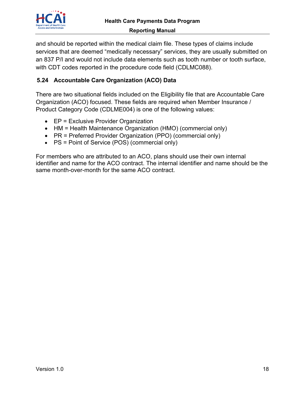

and should be reported within the medical claim file. These types of claims include services that are deemed "medically necessary" services, they are usually submitted on an 837 P/I and would not include data elements such as tooth number or tooth surface, with CDT codes reported in the procedure code field (CDLMC088).

## **5.24 Accountable Care Organization (ACO) Data**

There are two situational fields included on the Eligibility file that are Accountable Care Organization (ACO) focused. These fields are required when Member Insurance / Product Category Code (CDLME004) is one of the following values:

- EP = Exclusive Provider Organization
- HM = Health Maintenance Organization (HMO) (commercial only)
- PR = Preferred Provider Organization (PPO) (commercial only)
- PS = Point of Service (POS) (commercial only)

For members who are attributed to an ACO, plans should use their own internal identifier and name for the ACO contract. The internal identifier and name should be the same month-over-month for the same ACO contract.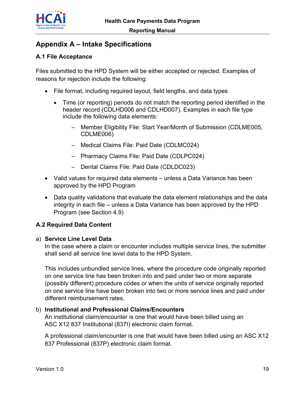

# **Appendix A – Intake Specifications**

## **A.1 File Acceptance**

Files submitted to the HPD System will be either accepted or rejected. Examples of reasons for rejection include the following:

- File format, including required layout, field lengths, and data types
	- Time (or reporting) periods do not match the reporting period identified in the header record (CDLHD006 and CDLHD007). Examples in each file type include the following data elements:
		- Member Eligibility File: Start Year/Month of Submission (CDLME005, CDLME006)
		- ─ Medical Claims File: Paid Date (CDLMC024)
		- ─ Pharmacy Claims File: Paid Date (CDLPC024)
		- ─ Dental Claims File: Paid Date (CDLDC023)
- Valid values for required data elements unless a Data Variance has been approved by the HPD Program
- Data quality validations that evaluate the data element relationships and the data integrity in each file – unless a Data Variance has been approved by the HPD Program (see Section 4.9)

#### **A.2 Required Data Content**

#### a) **Service Line Level Data**

In the case where a claim or encounter includes multiple service lines, the submitter shall send all service line level data to the HPD System.

This includes unbundled service lines, where the procedure code originally reported on one service line has been broken into and paid under two or more separate (possibly different) procedure codes or when the units of service originally reported on one service line have been broken into two or more service lines and paid under different reimbursement rates.

#### b) **Institutional and Professional Claims/Encounters**

An institutional claim/encounter is one that would have been billed using an ASC X12 837 Institutional (837I) electronic claim format.

A professional claim/encounter is one that would have been billed using an ASC X12 837 Professional (837P) electronic claim format.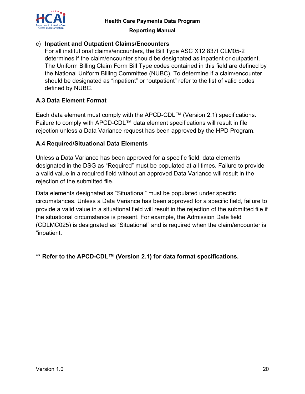

#### c) **Inpatient and Outpatient Claims/Encounters**

For all institutional claims/encounters, the Bill Type ASC X12 837I CLM05-2 determines if the claim/encounter should be designated as inpatient or outpatient. The Uniform Billing Claim Form Bill Type codes contained in this field are defined by the National Uniform Billing Committee (NUBC). To determine if a claim/encounter should be designated as "inpatient" or "outpatient" refer to the list of valid codes defined by NUBC.

#### **A.3 Data Element Format**

Each data element must comply with the APCD-CDL™ (Version 2.1) specifications. Failure to comply with APCD-CDL™ data element specifications will result in file rejection unless a Data Variance request has been approved by the HPD Program.

#### **A.4 Required/Situational Data Elements**

Unless a Data Variance has been approved for a specific field, data elements designated in the DSG as "Required" must be populated at all times. Failure to provide a valid value in a required field without an approved Data Variance will result in the rejection of the submitted file.

Data elements designated as "Situational" must be populated under specific circumstances. Unless a Data Variance has been approved for a specific field, failure to provide a valid value in a situational field will result in the rejection of the submitted file if the situational circumstance is present. For example, the Admission Date field (CDLMC025) is designated as "Situational" and is required when the claim/encounter is "inpatient.

**\*\* Refer to the APCD-CDL™ (Version 2.1) for data format specifications.**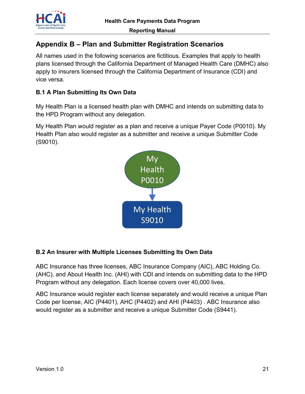

# **Appendix B – Plan and Submitter Registration Scenarios**

All names used in the following scenarios are fictitious. Examples that apply to health plans licensed through the California Department of Managed Health Care (DMHC) also apply to insurers licensed through the California Department of Insurance (CDI) and vice versa.

#### **B.1 A Plan Submitting Its Own Data**

My Health Plan is a licensed health plan with DMHC and intends on submitting data to the HPD Program without any delegation.

My Health Plan would register as a plan and receive a unique Payer Code (P0010). My Health Plan also would register as a submitter and receive a unique Submitter Code (S9010).



## **B.2 An Insurer with Multiple Licenses Submitting Its Own Data**

ABC Insurance has three licenses, ABC Insurance Company (AIC), ABC Holding Co. (AHC), and About Health Inc. (AHI) with CDI and intends on submitting data to the HPD Program without any delegation. Each license covers over 40,000 lives.

ABC Insurance would register each license separately and would receive a unique Plan Code per license, AIC (P4401), AHC (P4402) and AHI (P4403) . ABC Insurance also would register as a submitter and receive a unique Submitter Code (S9441).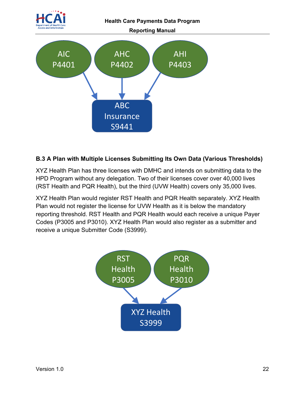

#### **B.3 A Plan with Multiple Licenses Submitting Its Own Data (Various Thresholds)**

XYZ Health Plan has three licenses with DMHC and intends on submitting data to the HPD Program without any delegation. Two of their licenses cover over 40,000 lives (RST Health and PQR Health), but the third (UVW Health) covers only 35,000 lives.

XYZ Health Plan would register RST Health and PQR Health separately. XYZ Health Plan would not register the license for UVW Health as it is below the mandatory reporting threshold. RST Health and PQR Health would each receive a unique Payer Codes (P3005 and P3010). XYZ Health Plan would also register as a submitter and receive a unique Submitter Code (S3999).

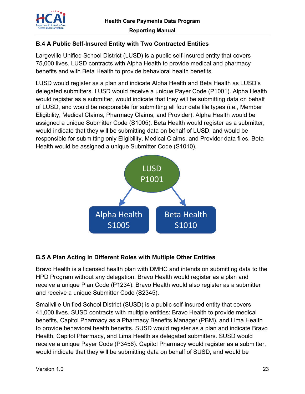

Largeville Unified School District (LUSD) is a public self-insured entity that covers 75,000 lives. LUSD contracts with Alpha Health to provide medical and pharmacy benefits and with Beta Health to provide behavioral health benefits.

LUSD would register as a plan and indicate Alpha Health and Beta Health as LUSD's delegated submitters. LUSD would receive a unique Payer Code (P1001). Alpha Health would register as a submitter, would indicate that they will be submitting data on behalf of LUSD, and would be responsible for submitting all four data file types (i.e., Member Eligibility, Medical Claims, Pharmacy Claims, and Provider). Alpha Health would be assigned a unique Submitter Code (S1005). Beta Health would register as a submitter, would indicate that they will be submitting data on behalf of LUSD, and would be responsible for submitting only Eligibility, Medical Claims, and Provider data files. Beta Health would be assigned a unique Submitter Code (S1010).



#### **B.5 A Plan Acting in Different Roles with Multiple Other Entities**

Bravo Health is a licensed health plan with DMHC and intends on submitting data to the HPD Program without any delegation. Bravo Health would register as a plan and receive a unique Plan Code (P1234). Bravo Health would also register as a submitter and receive a unique Submitter Code (S2345).

Smallville Unified School District (SUSD) is a public self-insured entity that covers 41,000 lives. SUSD contracts with multiple entities: Bravo Health to provide medical benefits, Capitol Pharmacy as a Pharmacy Benefits Manager (PBM), and Lima Health to provide behavioral health benefits. SUSD would register as a plan and indicate Bravo Health, Capitol Pharmacy, and Lima Health as delegated submitters. SUSD would receive a unique Payer Code (P3456). Capitol Pharmacy would register as a submitter, would indicate that they will be submitting data on behalf of SUSD, and would be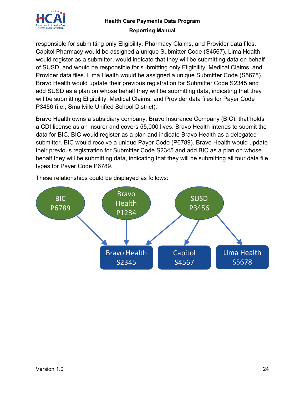

responsible for submitting only Eligibility, Pharmacy Claims, and Provider data files. Capitol Pharmacy would be assigned a unique Submitter Code (S4567). Lima Health would register as a submitter, would indicate that they will be submitting data on behalf of SUSD, and would be responsible for submitting only Eligibility, Medical Claims, and Provider data files. Lima Health would be assigned a unique Submitter Code (S5678). Bravo Health would update their previous registration for Submitter Code S2345 and add SUSD as a plan on whose behalf they will be submitting data, indicating that they will be submitting Eligibility, Medical Claims, and Provider data files for Payer Code P3456 (i.e., Smallville Unified School District).

Bravo Health owns a subsidiary company, Bravo Insurance Company (BIC), that holds a CDI license as an insurer and covers 55,000 lives. Bravo Health intends to submit the data for BIC. BIC would register as a plan and indicate Bravo Health as a delegated submitter. BIC would receive a unique Payer Code (P6789). Bravo Health would update their previous registration for Submitter Code S2345 and add BIC as a plan on whose behalf they will be submitting data, indicating that they will be submitting all four data file types for Payer Code P6789.



These relationships could be displayed as follows: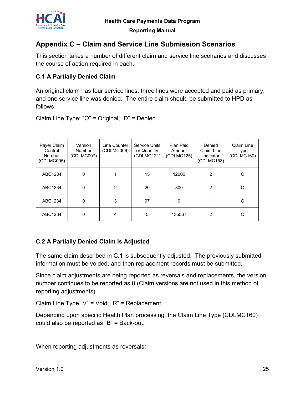

# **Appendix C – Claim and Service Line Submission Scenarios**

This section takes a number of different claim and service line scenarios and discusses the course of action required in each.

#### **C.1 A Partially Denied Claim**

An original claim has four service lines, three lines were accepted and paid as primary, and one service line was denied. The entire claim should be submitted to HPD as follows.

Claim Line Type: "O" = Original, "D" = Denied

| Payer Claim<br>Control<br>Number<br>(CDLMC005) | Version<br><b>Number</b><br>(CDLMC007) | Line Counter<br>(CDLMC006) | Service Units<br>or Quantity<br>(CDLMC121) | Plan Paid<br>Amount<br>(CDLMC125) | Denied<br>Claim Line<br>Indicator<br>(CDLMC158) | Claim Line<br>Type<br>(CDLMC160) |
|------------------------------------------------|----------------------------------------|----------------------------|--------------------------------------------|-----------------------------------|-------------------------------------------------|----------------------------------|
| ABC1234                                        | 0                                      |                            | 15                                         | 12000                             | $\mathcal{P}$                                   | $\Omega$                         |
| ABC1234                                        | 0                                      | $\mathcal{P}$              | 20                                         | 800                               | $\mathcal{P}$                                   | $\Omega$                         |
| ABC1234                                        | 0                                      | 3                          | 97                                         | 0                                 |                                                 | O                                |
| ABC1234                                        | 0                                      | 4                          | 5                                          | 135567                            | 2                                               | ∩                                |

#### **C.2 A Partially Denied Claim is Adjusted**

The same claim described in C.1 is subsequently adjusted. The previously submitted information must be voided, and then replacement records must be submitted.

Since claim adjustments are being reported as reversals and replacements, the version number continues to be reported as 0 (Claim versions are not used in this method of reporting adjustments).

Claim Line Type "V" = Void, "R" = Replacement

Depending upon specific Health Plan processing, the Claim Line Type (CDLMC160) could also be reported as "B" = Back-out.

When reporting adjustments as reversals: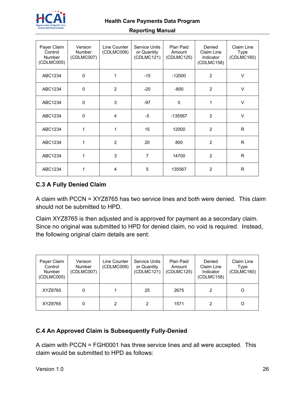

#### **Reporting Manual**

| Payer Claim<br>Control<br><b>Number</b><br>(CDLMC005) | Version<br><b>Number</b><br>(CDLMC007) | Line Counter<br>(CDLMC006) | <b>Service Units</b><br>or Quantity<br>(CDLMC121) | Plan Paid<br>Amount<br>(CDLMC125) | Denied<br>Claim Line<br>Indicator<br>(CDLMC158) | Claim Line<br>Type<br>(CDLMC160) |
|-------------------------------------------------------|----------------------------------------|----------------------------|---------------------------------------------------|-----------------------------------|-------------------------------------------------|----------------------------------|
| ABC1234                                               | $\mathbf 0$                            | 1                          | $-15$                                             | $-12000$                          | $\overline{2}$                                  | V                                |
| ABC1234                                               | $\mathbf 0$                            | 2                          | $-20$                                             | $-800$                            | 2                                               | $\vee$                           |
| ABC1234                                               | $\mathbf 0$                            | 3                          | $-97$                                             | 0                                 | 1                                               | $\vee$                           |
| ABC1234                                               | $\mathbf 0$                            | $\overline{4}$             | $-5$                                              | -135567                           | $\overline{2}$                                  | $\vee$                           |
| ABC1234                                               | 1                                      | 1                          | 15                                                | 12000                             | $\overline{2}$                                  | R                                |
| ABC1234                                               | 1                                      | 2                          | 20                                                | 800                               | 2                                               | $\mathsf{R}$                     |
| ABC1234                                               | 1                                      | 3                          | 7                                                 | 14700                             | 2                                               | R                                |
| ABC1234                                               | 1                                      | 4                          | 5                                                 | 135567                            | 2                                               | R                                |

#### **C.3 A Fully Denied Claim**

A claim with PCCN = XYZ8765 has two service lines and both were denied. This claim should not be submitted to HPD.

Claim XYZ8765 is then adjusted and is approved for payment as a secondary claim. Since no original was submitted to HPD for denied claim, no void is required. Instead, the following original claim details are sent:

| Payer Claim<br>Control<br><b>Number</b><br>(CDLMC005) | Version<br><b>Number</b><br>(CDLMC007) | Line Counter<br>(CDLMC006) | <b>Service Units</b><br>or Quantity<br>(CDLMC121) | Plan Paid<br>Amount<br>(CDLMC125) | Denied<br>Claim Line<br>Indicator<br>(CDLMC158) | Claim Line<br>Type<br>(CDLMC160) |
|-------------------------------------------------------|----------------------------------------|----------------------------|---------------------------------------------------|-----------------------------------|-------------------------------------------------|----------------------------------|
| XYZ8765                                               | 0                                      |                            | 25                                                | 2675                              | 2                                               |                                  |
| XYZ8765                                               | 0                                      | 2                          | 2                                                 | 1571                              | 2                                               |                                  |

# **C.4 An Approved Claim is Subsequently Fully-Denied**

A claim with PCCN = FGH0001 has three service lines and all were accepted. This claim would be submitted to HPD as follows: